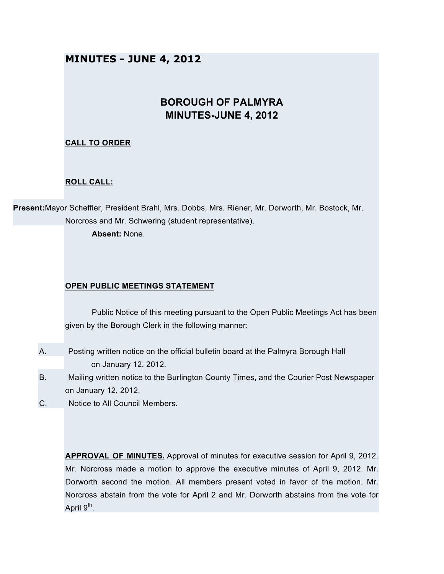# **MINUTES - JUNE 4, 2012**

# **BOROUGH OF PALMYRA MINUTES-JUNE 4, 2012**

# **CALL TO ORDER**

## **ROLL CALL:**

**Present:**Mayor Scheffler, President Brahl, Mrs. Dobbs, Mrs. Riener, Mr. Dorworth, Mr. Bostock, Mr. Norcross and Mr. Schwering (student representative).

**Absent:** None.

### **OPEN PUBLIC MEETINGS STATEMENT**

Public Notice of this meeting pursuant to the Open Public Meetings Act has been given by the Borough Clerk in the following manner:

- A. Posting written notice on the official bulletin board at the Palmyra Borough Hall on January 12, 2012.
- B. Mailing written notice to the Burlington County Times, and the Courier Post Newspaper on January 12, 2012.
- C. Notice to All Council Members.

**APPROVAL OF MINUTES.** Approval of minutes for executive session for April 9, 2012. Mr. Norcross made a motion to approve the executive minutes of April 9, 2012. Mr. Dorworth second the motion. All members present voted in favor of the motion. Mr. Norcross abstain from the vote for April 2 and Mr. Dorworth abstains from the vote for April  $9<sup>th</sup>$ .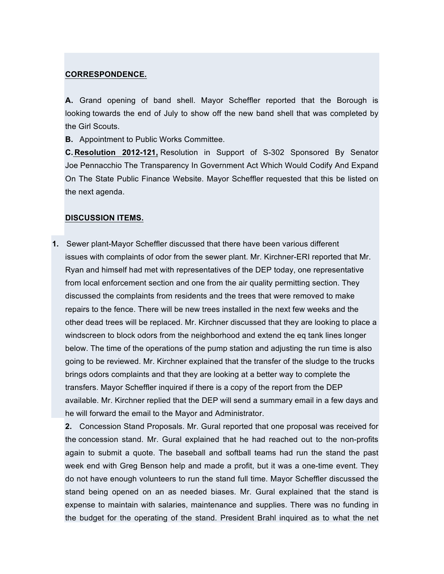#### **CORRESPONDENCE.**

**A.** Grand opening of band shell. Mayor Scheffler reported that the Borough is looking towards the end of July to show off the new band shell that was completed by the Girl Scouts.

**B.** Appointment to Public Works Committee.

**C. Resolution 2012-121,** Resolution in Support of S-302 Sponsored By Senator Joe Pennacchio The Transparency In Government Act Which Would Codify And Expand On The State Public Finance Website. Mayor Scheffler requested that this be listed on the next agenda.

#### **DISCUSSION ITEMS.**

**1.** Sewer plant-Mayor Scheffler discussed that there have been various different issues with complaints of odor from the sewer plant. Mr. Kirchner-ERI reported that Mr. Ryan and himself had met with representatives of the DEP today, one representative from local enforcement section and one from the air quality permitting section. They discussed the complaints from residents and the trees that were removed to make repairs to the fence. There will be new trees installed in the next few weeks and the other dead trees will be replaced. Mr. Kirchner discussed that they are looking to place a windscreen to block odors from the neighborhood and extend the eq tank lines longer below. The time of the operations of the pump station and adjusting the run time is also going to be reviewed. Mr. Kirchner explained that the transfer of the sludge to the trucks brings odors complaints and that they are looking at a better way to complete the transfers. Mayor Scheffler inquired if there is a copy of the report from the DEP available. Mr. Kirchner replied that the DEP will send a summary email in a few days and he will forward the email to the Mayor and Administrator.

**2.** Concession Stand Proposals. Mr. Gural reported that one proposal was received for the concession stand. Mr. Gural explained that he had reached out to the non-profits again to submit a quote. The baseball and softball teams had run the stand the past week end with Greg Benson help and made a profit, but it was a one-time event. They do not have enough volunteers to run the stand full time. Mayor Scheffler discussed the stand being opened on an as needed biases. Mr. Gural explained that the stand is expense to maintain with salaries, maintenance and supplies. There was no funding in the budget for the operating of the stand. President Brahl inquired as to what the net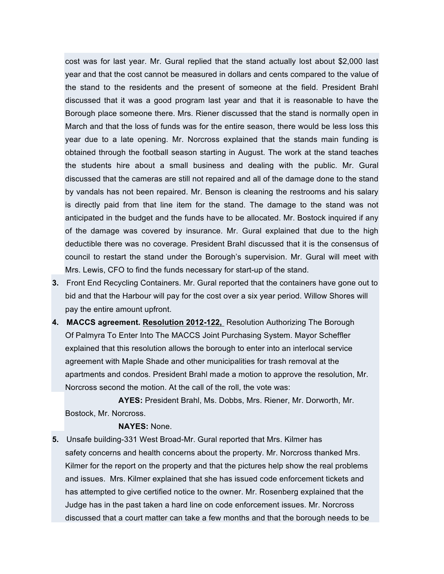cost was for last year. Mr. Gural replied that the stand actually lost about \$2,000 last year and that the cost cannot be measured in dollars and cents compared to the value of the stand to the residents and the present of someone at the field. President Brahl discussed that it was a good program last year and that it is reasonable to have the Borough place someone there. Mrs. Riener discussed that the stand is normally open in March and that the loss of funds was for the entire season, there would be less loss this year due to a late opening. Mr. Norcross explained that the stands main funding is obtained through the football season starting in August. The work at the stand teaches the students hire about a small business and dealing with the public. Mr. Gural discussed that the cameras are still not repaired and all of the damage done to the stand by vandals has not been repaired. Mr. Benson is cleaning the restrooms and his salary is directly paid from that line item for the stand. The damage to the stand was not anticipated in the budget and the funds have to be allocated. Mr. Bostock inquired if any of the damage was covered by insurance. Mr. Gural explained that due to the high deductible there was no coverage. President Brahl discussed that it is the consensus of council to restart the stand under the Borough's supervision. Mr. Gural will meet with Mrs. Lewis, CFO to find the funds necessary for start-up of the stand.

- **3.** Front End Recycling Containers. Mr. Gural reported that the containers have gone out to bid and that the Harbour will pay for the cost over a six year period. Willow Shores will pay the entire amount upfront.
- **4. MACCS agreement. Resolution 2012-122,** Resolution Authorizing The Borough Of Palmyra To Enter Into The MACCS Joint Purchasing System. Mayor Scheffler explained that this resolution allows the borough to enter into an interlocal service agreement with Maple Shade and other municipalities for trash removal at the apartments and condos. President Brahl made a motion to approve the resolution, Mr. Norcross second the motion. At the call of the roll, the vote was:

**AYES:** President Brahl, Ms. Dobbs, Mrs. Riener, Mr. Dorworth, Mr. Bostock, Mr. Norcross.

#### **NAYES:** None.

**5.** Unsafe building-331 West Broad-Mr. Gural reported that Mrs. Kilmer has safety concerns and health concerns about the property. Mr. Norcross thanked Mrs. Kilmer for the report on the property and that the pictures help show the real problems and issues. Mrs. Kilmer explained that she has issued code enforcement tickets and has attempted to give certified notice to the owner. Mr. Rosenberg explained that the Judge has in the past taken a hard line on code enforcement issues. Mr. Norcross discussed that a court matter can take a few months and that the borough needs to be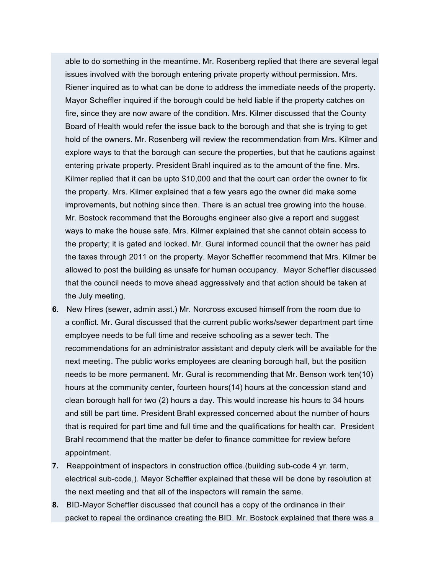able to do something in the meantime. Mr. Rosenberg replied that there are several legal issues involved with the borough entering private property without permission. Mrs. Riener inquired as to what can be done to address the immediate needs of the property. Mayor Scheffler inquired if the borough could be held liable if the property catches on fire, since they are now aware of the condition. Mrs. Kilmer discussed that the County Board of Health would refer the issue back to the borough and that she is trying to get hold of the owners. Mr. Rosenberg will review the recommendation from Mrs. Kilmer and explore ways to that the borough can secure the properties, but that he cautions against entering private property. President Brahl inquired as to the amount of the fine. Mrs. Kilmer replied that it can be upto \$10,000 and that the court can order the owner to fix the property. Mrs. Kilmer explained that a few years ago the owner did make some improvements, but nothing since then. There is an actual tree growing into the house. Mr. Bostock recommend that the Boroughs engineer also give a report and suggest ways to make the house safe. Mrs. Kilmer explained that she cannot obtain access to the property; it is gated and locked. Mr. Gural informed council that the owner has paid the taxes through 2011 on the property. Mayor Scheffler recommend that Mrs. Kilmer be allowed to post the building as unsafe for human occupancy. Mayor Scheffler discussed that the council needs to move ahead aggressively and that action should be taken at the July meeting.

- **6.** New Hires (sewer, admin asst.) Mr. Norcross excused himself from the room due to a conflict. Mr. Gural discussed that the current public works/sewer department part time employee needs to be full time and receive schooling as a sewer tech. The recommendations for an administrator assistant and deputy clerk will be available for the next meeting. The public works employees are cleaning borough hall, but the position needs to be more permanent. Mr. Gural is recommending that Mr. Benson work ten(10) hours at the community center, fourteen hours(14) hours at the concession stand and clean borough hall for two (2) hours a day. This would increase his hours to 34 hours and still be part time. President Brahl expressed concerned about the number of hours that is required for part time and full time and the qualifications for health car. President Brahl recommend that the matter be defer to finance committee for review before appointment.
- **7.** Reappointment of inspectors in construction office.(building sub-code 4 yr. term, electrical sub-code,). Mayor Scheffler explained that these will be done by resolution at the next meeting and that all of the inspectors will remain the same.
- **8.** BID-Mayor Scheffler discussed that council has a copy of the ordinance in their packet to repeal the ordinance creating the BID. Mr. Bostock explained that there was a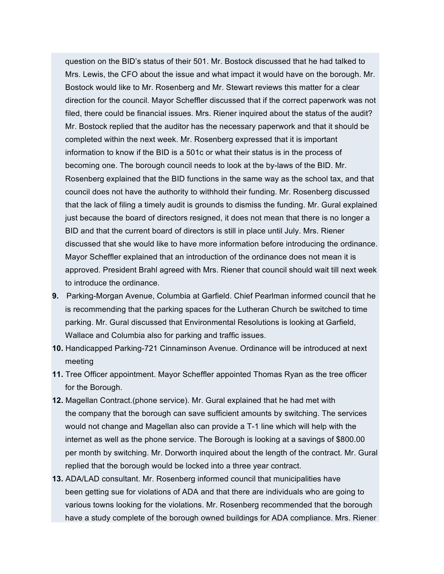question on the BID's status of their 501. Mr. Bostock discussed that he had talked to Mrs. Lewis, the CFO about the issue and what impact it would have on the borough. Mr. Bostock would like to Mr. Rosenberg and Mr. Stewart reviews this matter for a clear direction for the council. Mayor Scheffler discussed that if the correct paperwork was not filed, there could be financial issues. Mrs. Riener inquired about the status of the audit? Mr. Bostock replied that the auditor has the necessary paperwork and that it should be completed within the next week. Mr. Rosenberg expressed that it is important information to know if the BID is a 501c or what their status is in the process of becoming one. The borough council needs to look at the by-laws of the BID. Mr. Rosenberg explained that the BID functions in the same way as the school tax, and that council does not have the authority to withhold their funding. Mr. Rosenberg discussed that the lack of filing a timely audit is grounds to dismiss the funding. Mr. Gural explained just because the board of directors resigned, it does not mean that there is no longer a BID and that the current board of directors is still in place until July. Mrs. Riener discussed that she would like to have more information before introducing the ordinance. Mayor Scheffler explained that an introduction of the ordinance does not mean it is approved. President Brahl agreed with Mrs. Riener that council should wait till next week to introduce the ordinance.

- **9.** Parking-Morgan Avenue, Columbia at Garfield. Chief Pearlman informed council that he is recommending that the parking spaces for the Lutheran Church be switched to time parking. Mr. Gural discussed that Environmental Resolutions is looking at Garfield, Wallace and Columbia also for parking and traffic issues.
- **10.** Handicapped Parking-721 Cinnaminson Avenue. Ordinance will be introduced at next meeting
- **11.** Tree Officer appointment. Mayor Scheffler appointed Thomas Ryan as the tree officer for the Borough.
- **12.** Magellan Contract.(phone service). Mr. Gural explained that he had met with the company that the borough can save sufficient amounts by switching. The services would not change and Magellan also can provide a T-1 line which will help with the internet as well as the phone service. The Borough is looking at a savings of \$800.00 per month by switching. Mr. Dorworth inquired about the length of the contract. Mr. Gural replied that the borough would be locked into a three year contract.
- **13.** ADA/LAD consultant. Mr. Rosenberg informed council that municipalities have been getting sue for violations of ADA and that there are individuals who are going to various towns looking for the violations. Mr. Rosenberg recommended that the borough have a study complete of the borough owned buildings for ADA compliance. Mrs. Riener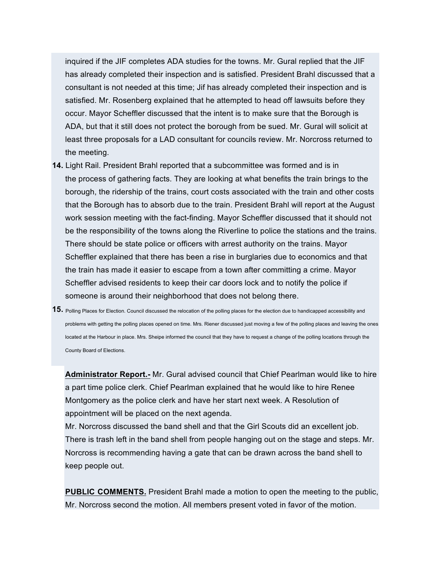inquired if the JIF completes ADA studies for the towns. Mr. Gural replied that the JIF has already completed their inspection and is satisfied. President Brahl discussed that a consultant is not needed at this time; Jif has already completed their inspection and is satisfied. Mr. Rosenberg explained that he attempted to head off lawsuits before they occur. Mayor Scheffler discussed that the intent is to make sure that the Borough is ADA, but that it still does not protect the borough from be sued. Mr. Gural will solicit at least three proposals for a LAD consultant for councils review. Mr. Norcross returned to the meeting.

- **14.** Light Rail. President Brahl reported that a subcommittee was formed and is in the process of gathering facts. They are looking at what benefits the train brings to the borough, the ridership of the trains, court costs associated with the train and other costs that the Borough has to absorb due to the train. President Brahl will report at the August work session meeting with the fact-finding. Mayor Scheffler discussed that it should not be the responsibility of the towns along the Riverline to police the stations and the trains. There should be state police or officers with arrest authority on the trains. Mayor Scheffler explained that there has been a rise in burglaries due to economics and that the train has made it easier to escape from a town after committing a crime. Mayor Scheffler advised residents to keep their car doors lock and to notify the police if someone is around their neighborhood that does not belong there.
- **15.** Polling Places for Election. Council discussed the relocation of the polling places for the election due to handicapped accessibility and problems with getting the polling places opened on time. Mrs. Riener discussed just moving a few of the polling places and leaving the ones located at the Harbour in place. Mrs. Sheipe informed the council that they have to request a change of the polling locations through the County Board of Elections.

**Administrator Report.-** Mr. Gural advised council that Chief Pearlman would like to hire a part time police clerk. Chief Pearlman explained that he would like to hire Renee Montgomery as the police clerk and have her start next week. A Resolution of appointment will be placed on the next agenda.

Mr. Norcross discussed the band shell and that the Girl Scouts did an excellent job. There is trash left in the band shell from people hanging out on the stage and steps. Mr. Norcross is recommending having a gate that can be drawn across the band shell to keep people out.

**PUBLIC COMMENTS.** President Brahl made a motion to open the meeting to the public, Mr. Norcross second the motion. All members present voted in favor of the motion.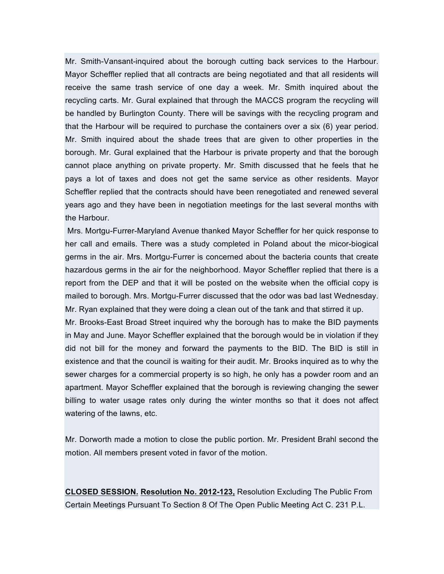Mr. Smith-Vansant-inquired about the borough cutting back services to the Harbour. Mayor Scheffler replied that all contracts are being negotiated and that all residents will receive the same trash service of one day a week. Mr. Smith inquired about the recycling carts. Mr. Gural explained that through the MACCS program the recycling will be handled by Burlington County. There will be savings with the recycling program and that the Harbour will be required to purchase the containers over a six (6) year period. Mr. Smith inquired about the shade trees that are given to other properties in the borough. Mr. Gural explained that the Harbour is private property and that the borough cannot place anything on private property. Mr. Smith discussed that he feels that he pays a lot of taxes and does not get the same service as other residents. Mayor Scheffler replied that the contracts should have been renegotiated and renewed several years ago and they have been in negotiation meetings for the last several months with the Harbour.

Mrs. Mortgu-Furrer-Maryland Avenue thanked Mayor Scheffler for her quick response to her call and emails. There was a study completed in Poland about the micor-biogical germs in the air. Mrs. Mortgu-Furrer is concerned about the bacteria counts that create hazardous germs in the air for the neighborhood. Mayor Scheffler replied that there is a report from the DEP and that it will be posted on the website when the official copy is mailed to borough. Mrs. Mortgu-Furrer discussed that the odor was bad last Wednesday. Mr. Ryan explained that they were doing a clean out of the tank and that stirred it up.

Mr. Brooks-East Broad Street inquired why the borough has to make the BID payments in May and June. Mayor Scheffler explained that the borough would be in violation if they did not bill for the money and forward the payments to the BID. The BID is still in existence and that the council is waiting for their audit. Mr. Brooks inquired as to why the sewer charges for a commercial property is so high, he only has a powder room and an apartment. Mayor Scheffler explained that the borough is reviewing changing the sewer billing to water usage rates only during the winter months so that it does not affect watering of the lawns, etc.

Mr. Dorworth made a motion to close the public portion. Mr. President Brahl second the motion. All members present voted in favor of the motion.

**CLOSED SESSION. Resolution No. 2012-123,** Resolution Excluding The Public From Certain Meetings Pursuant To Section 8 Of The Open Public Meeting Act C. 231 P.L.